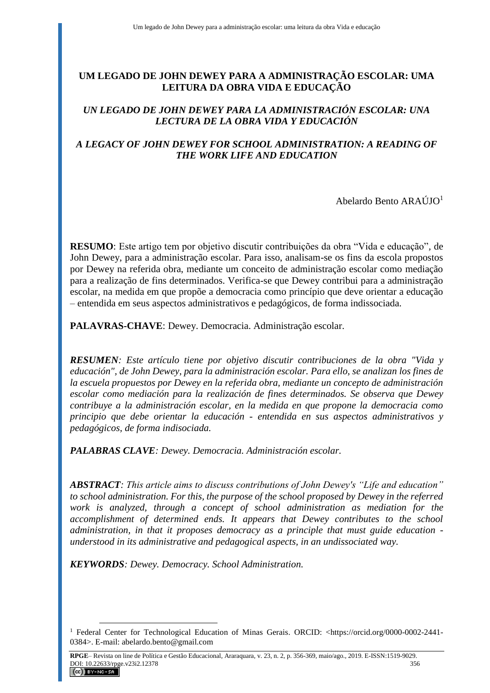# **UM LEGADO DE JOHN DEWEY PARA A ADMINISTRAÇÃO ESCOLAR: UMA LEITURA DA OBRA VIDA E EDUCAÇÃO**

# *UN LEGADO DE JOHN DEWEY PARA LA ADMINISTRACIÓN ESCOLAR: UNA LECTURA DE LA OBRA VIDA Y EDUCACIÓN*

# *A LEGACY OF JOHN DEWEY FOR SCHOOL ADMINISTRATION: A READING OF THE WORK LIFE AND EDUCATION*

Abelardo Bento ARAÚJO<sup>1</sup>

**RESUMO**: Este artigo tem por objetivo discutir contribuições da obra "Vida e educação"*,* de John Dewey, para a administração escolar. Para isso, analisam-se os fins da escola propostos por Dewey na referida obra, mediante um conceito de administração escolar como mediação para a realização de fins determinados. Verifica-se que Dewey contribui para a administração escolar, na medida em que propõe a democracia como princípio que deve orientar a educação – entendida em seus aspectos administrativos e pedagógicos, de forma indissociada.

**PALAVRAS-CHAVE**: Dewey. Democracia. Administração escolar.

*RESUMEN: Este artículo tiene por objetivo discutir contribuciones de la obra "Vida y educación", de John Dewey, para la administración escolar. Para ello, se analizan los fines de la escuela propuestos por Dewey en la referida obra, mediante un concepto de administración escolar como mediación para la realización de fines determinados. Se observa que Dewey contribuye a la administración escolar, en la medida en que propone la democracia como principio que debe orientar la educación - entendida en sus aspectos administrativos y pedagógicos, de forma indisociada.*

*PALABRAS CLAVE: Dewey. Democracia. Administración escolar.*

*ABSTRACT: This article aims to discuss contributions of John Dewey's "Life and education" to school administration. For this, the purpose of the school proposed by Dewey in the referred work is analyzed, through a concept of school administration as mediation for the accomplishment of determined ends. It appears that Dewey contributes to the school administration, in that it proposes democracy as a principle that must guide education understood in its administrative and pedagogical aspects, in an undissociated way.*

*KEYWORDS: Dewey. Democracy. School Administration.*

<sup>&</sup>lt;sup>1</sup> Federal Center for Technological Education of Minas Gerais. ORCID: <https://orcid.org/0000-0002-2441-0384>. E-mail: abelardo.bento@gmail.com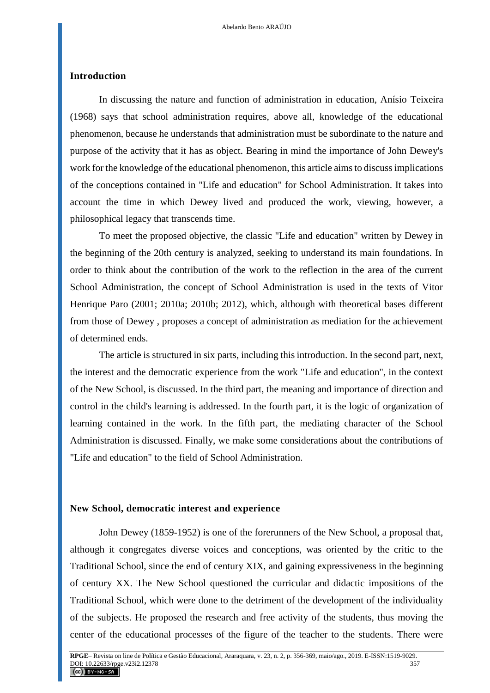### **Introduction**

In discussing the nature and function of administration in education, Anísio Teixeira (1968) says that school administration requires, above all, knowledge of the educational phenomenon, because he understands that administration must be subordinate to the nature and purpose of the activity that it has as object. Bearing in mind the importance of John Dewey's work for the knowledge of the educational phenomenon, this article aims to discuss implications of the conceptions contained in "Life and education" for School Administration. It takes into account the time in which Dewey lived and produced the work, viewing, however, a philosophical legacy that transcends time.

To meet the proposed objective, the classic "Life and education" written by Dewey in the beginning of the 20th century is analyzed, seeking to understand its main foundations. In order to think about the contribution of the work to the reflection in the area of the current School Administration, the concept of School Administration is used in the texts of Vitor Henrique Paro (2001; 2010a; 2010b; 2012), which, although with theoretical bases different from those of Dewey , proposes a concept of administration as mediation for the achievement of determined ends.

The article is structured in six parts, including this introduction. In the second part, next, the interest and the democratic experience from the work "Life and education", in the context of the New School, is discussed. In the third part, the meaning and importance of direction and control in the child's learning is addressed. In the fourth part, it is the logic of organization of learning contained in the work. In the fifth part, the mediating character of the School Administration is discussed. Finally, we make some considerations about the contributions of "Life and education" to the field of School Administration.

#### **New School, democratic interest and experience**

John Dewey (1859-1952) is one of the forerunners of the New School, a proposal that, although it congregates diverse voices and conceptions, was oriented by the critic to the Traditional School, since the end of century XIX, and gaining expressiveness in the beginning of century XX. The New School questioned the curricular and didactic impositions of the Traditional School, which were done to the detriment of the development of the individuality of the subjects. He proposed the research and free activity of the students, thus moving the center of the educational processes of the figure of the teacher to the students. There were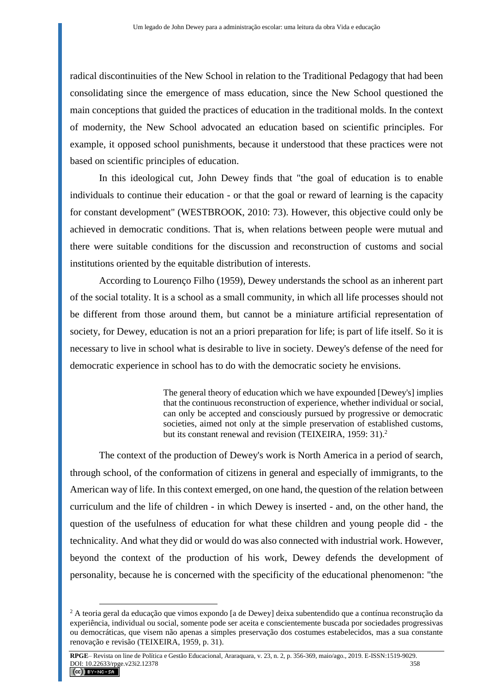radical discontinuities of the New School in relation to the Traditional Pedagogy that had been consolidating since the emergence of mass education, since the New School questioned the main conceptions that guided the practices of education in the traditional molds. In the context of modernity, the New School advocated an education based on scientific principles. For example, it opposed school punishments, because it understood that these practices were not based on scientific principles of education.

In this ideological cut, John Dewey finds that "the goal of education is to enable individuals to continue their education - or that the goal or reward of learning is the capacity for constant development" (WESTBROOK, 2010: 73). However, this objective could only be achieved in democratic conditions. That is, when relations between people were mutual and there were suitable conditions for the discussion and reconstruction of customs and social institutions oriented by the equitable distribution of interests.

According to Lourenço Filho (1959), Dewey understands the school as an inherent part of the social totality. It is a school as a small community, in which all life processes should not be different from those around them, but cannot be a miniature artificial representation of society, for Dewey, education is not an a priori preparation for life; is part of life itself. So it is necessary to live in school what is desirable to live in society. Dewey's defense of the need for democratic experience in school has to do with the democratic society he envisions.

> The general theory of education which we have expounded [Dewey's] implies that the continuous reconstruction of experience, whether individual or social, can only be accepted and consciously pursued by progressive or democratic societies, aimed not only at the simple preservation of established customs, but its constant renewal and revision (TEIXEIRA, 1959: 31).<sup>2</sup>

The context of the production of Dewey's work is North America in a period of search, through school, of the conformation of citizens in general and especially of immigrants, to the American way of life. In this context emerged, on one hand, the question of the relation between curriculum and the life of children - in which Dewey is inserted - and, on the other hand, the question of the usefulness of education for what these children and young people did - the technicality. And what they did or would do was also connected with industrial work. However, beyond the context of the production of his work, Dewey defends the development of personality, because he is concerned with the specificity of the educational phenomenon: "the

<sup>2</sup> A teoria geral da educação que vimos expondo [a de Dewey] deixa subentendido que a contínua reconstrução da experiência, individual ou social, somente pode ser aceita e conscientemente buscada por sociedades progressivas ou democráticas, que visem não apenas a simples preservação dos costumes estabelecidos, mas a sua constante renovação e revisão (TEIXEIRA, 1959, p. 31).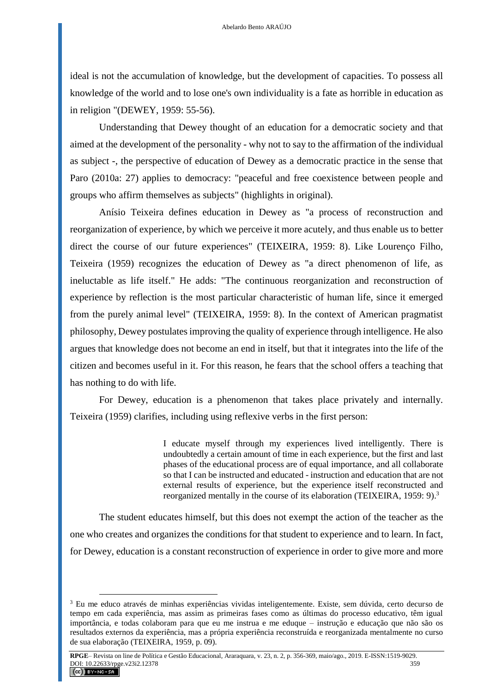ideal is not the accumulation of knowledge, but the development of capacities. To possess all knowledge of the world and to lose one's own individuality is a fate as horrible in education as in religion "(DEWEY, 1959: 55-56).

Understanding that Dewey thought of an education for a democratic society and that aimed at the development of the personality - why not to say to the affirmation of the individual as subject -, the perspective of education of Dewey as a democratic practice in the sense that Paro (2010a: 27) applies to democracy: "peaceful and free coexistence between people and groups who affirm themselves as subjects" (highlights in original).

Anísio Teixeira defines education in Dewey as "a process of reconstruction and reorganization of experience, by which we perceive it more acutely, and thus enable us to better direct the course of our future experiences" (TEIXEIRA, 1959: 8). Like Lourenço Filho, Teixeira (1959) recognizes the education of Dewey as "a direct phenomenon of life, as ineluctable as life itself." He adds: "The continuous reorganization and reconstruction of experience by reflection is the most particular characteristic of human life, since it emerged from the purely animal level" (TEIXEIRA, 1959: 8). In the context of American pragmatist philosophy, Dewey postulates improving the quality of experience through intelligence. He also argues that knowledge does not become an end in itself, but that it integrates into the life of the citizen and becomes useful in it. For this reason, he fears that the school offers a teaching that has nothing to do with life.

For Dewey, education is a phenomenon that takes place privately and internally. Teixeira (1959) clarifies, including using reflexive verbs in the first person:

> I educate myself through my experiences lived intelligently. There is undoubtedly a certain amount of time in each experience, but the first and last phases of the educational process are of equal importance, and all collaborate so that I can be instructed and educated - instruction and education that are not external results of experience, but the experience itself reconstructed and reorganized mentally in the course of its elaboration (TEIXEIRA, 1959: 9).<sup>3</sup>

The student educates himself, but this does not exempt the action of the teacher as the one who creates and organizes the conditions for that student to experience and to learn. In fact, for Dewey, education is a constant reconstruction of experience in order to give more and more

<sup>3</sup> Eu me educo através de minhas experiências vividas inteligentemente. Existe, sem dúvida, certo decurso de tempo em cada experiência, mas assim as primeiras fases como as últimas do processo educativo, têm igual importância, e todas colaboram para que eu me instrua e me eduque – instrução e educação que não são os resultados externos da experiência, mas a própria experiência reconstruída e reorganizada mentalmente no curso de sua elaboração (TEIXEIRA, 1959, p. 09).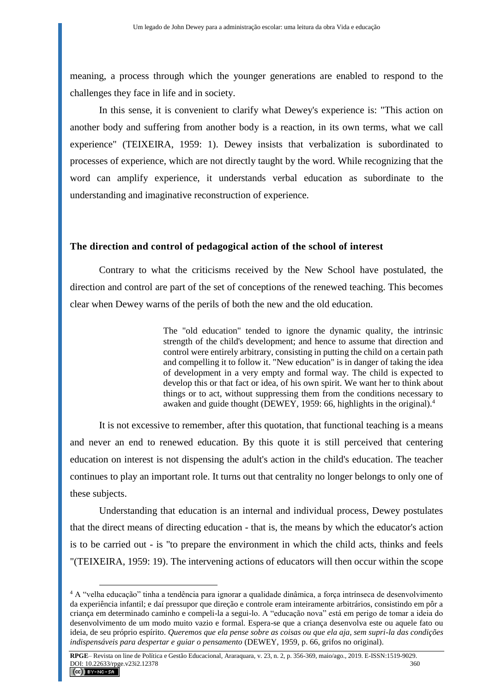meaning, a process through which the younger generations are enabled to respond to the challenges they face in life and in society.

In this sense, it is convenient to clarify what Dewey's experience is: "This action on another body and suffering from another body is a reaction, in its own terms, what we call experience" (TEIXEIRA, 1959: 1). Dewey insists that verbalization is subordinated to processes of experience, which are not directly taught by the word. While recognizing that the word can amplify experience, it understands verbal education as subordinate to the understanding and imaginative reconstruction of experience.

## **The direction and control of pedagogical action of the school of interest**

Contrary to what the criticisms received by the New School have postulated, the direction and control are part of the set of conceptions of the renewed teaching. This becomes clear when Dewey warns of the perils of both the new and the old education.

> The "old education" tended to ignore the dynamic quality, the intrinsic strength of the child's development; and hence to assume that direction and control were entirely arbitrary, consisting in putting the child on a certain path and compelling it to follow it. "New education" is in danger of taking the idea of development in a very empty and formal way. The child is expected to develop this or that fact or idea, of his own spirit. We want her to think about things or to act, without suppressing them from the conditions necessary to awaken and guide thought (DEWEY, 1959: 66, highlights in the original).<sup>4</sup>

It is not excessive to remember, after this quotation, that functional teaching is a means and never an end to renewed education. By this quote it is still perceived that centering education on interest is not dispensing the adult's action in the child's education. The teacher continues to play an important role. It turns out that centrality no longer belongs to only one of these subjects.

Understanding that education is an internal and individual process, Dewey postulates that the direct means of directing education - that is, the means by which the educator's action is to be carried out - is "to prepare the environment in which the child acts, thinks and feels "(TEIXEIRA, 1959: 19). The intervening actions of educators will then occur within the scope

<sup>4</sup> A "velha educação" tinha a tendência para ignorar a qualidade dinâmica, a força intrínseca de desenvolvimento da experiência infantil; e daí pressupor que direção e controle eram inteiramente arbitrários, consistindo em pôr a criança em determinado caminho e compeli-la a segui-lo. A "educação nova" está em perigo de tomar a ideia do desenvolvimento de um modo muito vazio e formal. Espera-se que a criança desenvolva este ou aquele fato ou ideia, de seu próprio espírito. *Queremos que ela pense sobre as coisas ou que ela aja, sem supri-la das condições indispensáveis para despertar e guiar o pensamento* (DEWEY, 1959, p. 66, grifos no original).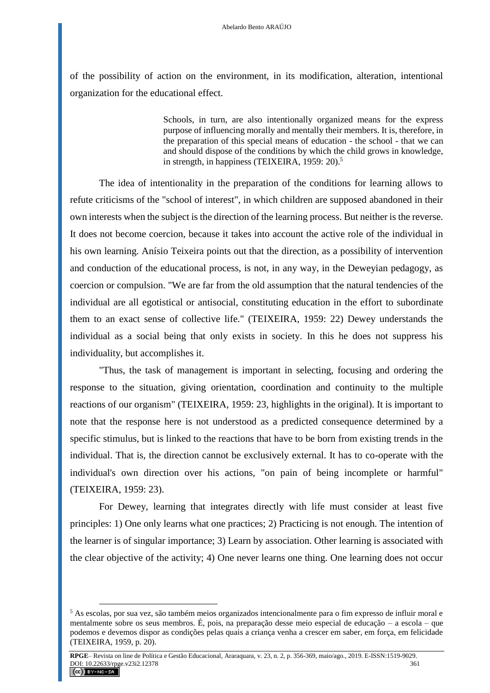of the possibility of action on the environment, in its modification, alteration, intentional organization for the educational effect.

> Schools, in turn, are also intentionally organized means for the express purpose of influencing morally and mentally their members. It is, therefore, in the preparation of this special means of education - the school - that we can and should dispose of the conditions by which the child grows in knowledge, in strength, in happiness (TEIXEIRA, 1959: 20).<sup>5</sup>

The idea of intentionality in the preparation of the conditions for learning allows to refute criticisms of the "school of interest", in which children are supposed abandoned in their own interests when the subject is the direction of the learning process. But neither is the reverse. It does not become coercion, because it takes into account the active role of the individual in his own learning. Anísio Teixeira points out that the direction, as a possibility of intervention and conduction of the educational process, is not, in any way, in the Deweyian pedagogy, as coercion or compulsion. "We are far from the old assumption that the natural tendencies of the individual are all egotistical or antisocial, constituting education in the effort to subordinate them to an exact sense of collective life." (TEIXEIRA, 1959: 22) Dewey understands the individual as a social being that only exists in society. In this he does not suppress his individuality, but accomplishes it.

"Thus, the task of management is important in selecting, focusing and ordering the response to the situation, giving orientation, coordination and continuity to the multiple reactions of our organism" (TEIXEIRA, 1959: 23, highlights in the original). It is important to note that the response here is not understood as a predicted consequence determined by a specific stimulus, but is linked to the reactions that have to be born from existing trends in the individual. That is, the direction cannot be exclusively external. It has to co-operate with the individual's own direction over his actions, "on pain of being incomplete or harmful" (TEIXEIRA, 1959: 23).

For Dewey, learning that integrates directly with life must consider at least five principles: 1) One only learns what one practices; 2) Practicing is not enough. The intention of the learner is of singular importance; 3) Learn by association. Other learning is associated with the clear objective of the activity; 4) One never learns one thing. One learning does not occur

<sup>5</sup> As escolas, por sua vez, são também meios organizados intencionalmente para o fim expresso de influir moral e mentalmente sobre os seus membros. É, pois, na preparação desse meio especial de educação – a escola – que podemos e devemos dispor as condições pelas quais a criança venha a crescer em saber, em força, em felicidade (TEIXEIRA, 1959, p. 20).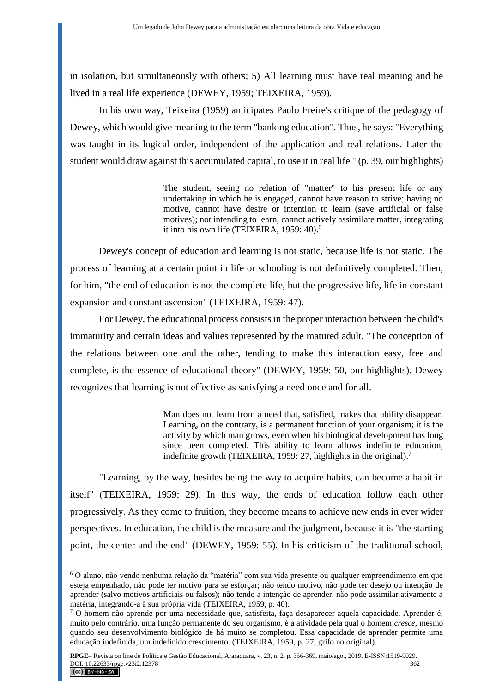in isolation, but simultaneously with others; 5) All learning must have real meaning and be lived in a real life experience (DEWEY, 1959; TEIXEIRA, 1959).

In his own way, Teixeira (1959) anticipates Paulo Freire's critique of the pedagogy of Dewey, which would give meaning to the term "banking education". Thus, he says: "Everything was taught in its logical order, independent of the application and real relations. Later the student would draw against this accumulated capital, to use it in real life " (p. 39, our highlights)

> The student, seeing no relation of "matter" to his present life or any undertaking in which he is engaged, cannot have reason to strive; having no motive, cannot have desire or intention to learn (save artificial or false motives); not intending to learn, cannot actively assimilate matter, integrating it into his own life (TEIXEIRA, 1959: 40).<sup>6</sup>

Dewey's concept of education and learning is not static, because life is not static. The process of learning at a certain point in life or schooling is not definitively completed. Then, for him, "the end of education is not the complete life, but the progressive life, life in constant expansion and constant ascension" (TEIXEIRA, 1959: 47).

For Dewey, the educational process consists in the proper interaction between the child's immaturity and certain ideas and values represented by the matured adult. "The conception of the relations between one and the other, tending to make this interaction easy, free and complete, is the essence of educational theory" (DEWEY, 1959: 50, our highlights). Dewey recognizes that learning is not effective as satisfying a need once and for all.

> Man does not learn from a need that, satisfied, makes that ability disappear. Learning, on the contrary, is a permanent function of your organism; it is the activity by which man grows, even when his biological development has long since been completed. This ability to learn allows indefinite education, indefinite growth (TEIXEIRA, 1959: 27, highlights in the original).<sup>7</sup>

"Learning, by the way, besides being the way to acquire habits, can become a habit in itself" (TEIXEIRA, 1959: 29). In this way, the ends of education follow each other progressively. As they come to fruition, they become means to achieve new ends in ever wider perspectives. In education, the child is the measure and the judgment, because it is "the starting point, the center and the end" (DEWEY, 1959: 55). In his criticism of the traditional school,

<sup>6</sup> O aluno, não vendo nenhuma relação da "matéria" com sua vida presente ou qualquer empreendimento em que esteja empenhado, não pode ter motivo para se esforçar; não tendo motivo, não pode ter desejo ou intenção de aprender (salvo motivos artificiais ou falsos); não tendo a intenção de aprender, não pode assimilar ativamente a matéria, integrando-a à sua própria vida (TEIXEIRA, 1959, p. 40).

<sup>7</sup> O homem não aprende por uma necessidade que, satisfeita, faça desaparecer aquela capacidade. Aprender é, muito pelo contrário, uma função permanente do seu organismo, é a atividade pela qual o homem *cresce,* mesmo quando seu desenvolvimento biológico de há muito se completou. Essa capacidade de aprender permite uma educação indefinida, um indefinido crescimento. (TEIXEIRA, 1959, p. 27, grifo no original).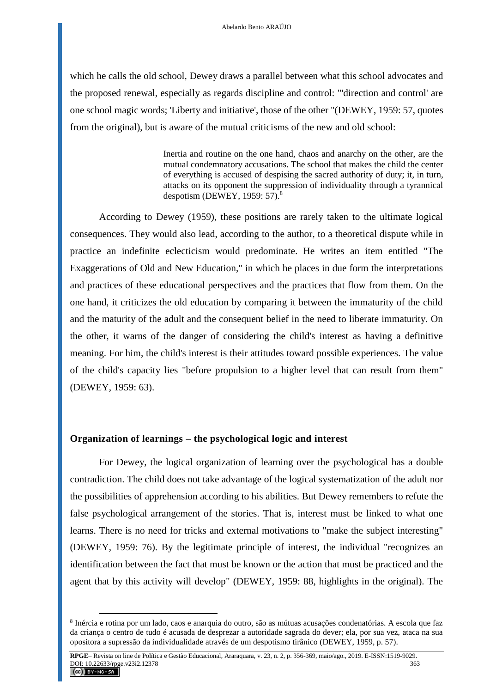which he calls the old school, Dewey draws a parallel between what this school advocates and the proposed renewal, especially as regards discipline and control: "'direction and control' are one school magic words; 'Liberty and initiative', those of the other "(DEWEY, 1959: 57, quotes from the original), but is aware of the mutual criticisms of the new and old school:

> Inertia and routine on the one hand, chaos and anarchy on the other, are the mutual condemnatory accusations. The school that makes the child the center of everything is accused of despising the sacred authority of duty; it, in turn, attacks on its opponent the suppression of individuality through a tyrannical despotism (DEWEY, 1959: 57).<sup>8</sup>

According to Dewey (1959), these positions are rarely taken to the ultimate logical consequences. They would also lead, according to the author, to a theoretical dispute while in practice an indefinite eclecticism would predominate. He writes an item entitled "The Exaggerations of Old and New Education," in which he places in due form the interpretations and practices of these educational perspectives and the practices that flow from them. On the one hand, it criticizes the old education by comparing it between the immaturity of the child and the maturity of the adult and the consequent belief in the need to liberate immaturity. On the other, it warns of the danger of considering the child's interest as having a definitive meaning. For him, the child's interest is their attitudes toward possible experiences. The value of the child's capacity lies "before propulsion to a higher level that can result from them" (DEWEY, 1959: 63).

# **Organization of learnings – the psychological logic and interest**

 $\overline{a}$ 

For Dewey, the logical organization of learning over the psychological has a double contradiction. The child does not take advantage of the logical systematization of the adult nor the possibilities of apprehension according to his abilities. But Dewey remembers to refute the false psychological arrangement of the stories. That is, interest must be linked to what one learns. There is no need for tricks and external motivations to "make the subject interesting" (DEWEY, 1959: 76). By the legitimate principle of interest, the individual "recognizes an identification between the fact that must be known or the action that must be practiced and the agent that by this activity will develop" (DEWEY, 1959: 88, highlights in the original). The

<sup>&</sup>lt;sup>8</sup> Inércia e rotina por um lado, caos e anarquia do outro, são as mútuas acusações condenatórias. A escola que faz da criança o centro de tudo é acusada de desprezar a autoridade sagrada do dever; ela, por sua vez, ataca na sua opositora a supressão da individualidade através de um despotismo tirânico (DEWEY, 1959, p. 57).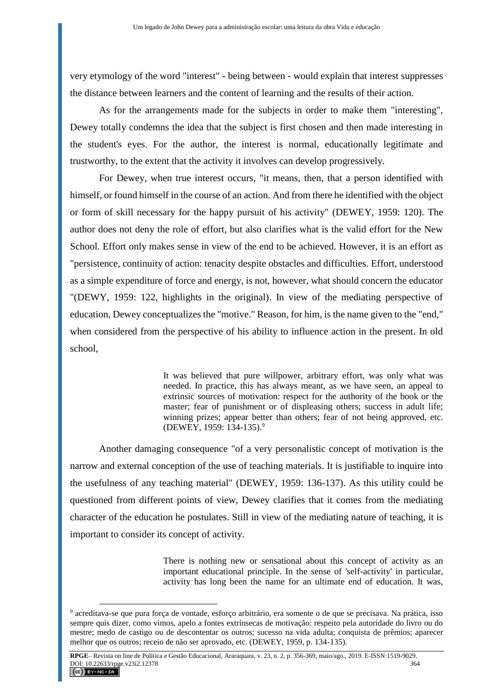very etymology of the word "interest" - being between - would explain that interest suppresses the distance between learners and the content of learning and the results of their action.

As for the arrangements made for the subjects in order to make them "interesting", Dewey totally condemns the idea that the subject is first chosen and then made interesting in the student's eyes. For the author, the interest is normal, educationally legitimate and trustworthy, to the extent that the activity it involves can develop progressively.

For Dewey, when true interest occurs, "it means, then, that a person identified with himself, or found himself in the course of an action. And from there he identified with the object or form of skill necessary for the happy pursuit of his activity" (DEWEY, 1959: 120). The author does not deny the role of effort, but also clarifies what is the valid effort for the New School. Effort only makes sense in view of the end to be achieved. However, it is an effort as "persistence, continuity of action: tenacity despite obstacles and difficulties. Effort, understood as a simple expenditure of force and energy, is not, however, what should concern the educator "(DEWY, 1959: 122, highlights in the original). In view of the mediating perspective of education, Dewey conceptualizes the "motive." Reason, for him, is the name given to the "end," when considered from the perspective of his ability to influence action in the present. In old school,

> It was believed that pure willpower, arbitrary effort, was only what was needed. In practice, this has always meant, as we have seen, an appeal to extrinsic sources of motivation: respect for the authority of the book or the master; fear of punishment or of displeasing others; success in adult life; winning prizes; appear better than others; fear of not being approved, etc. (DEWEY, 1959: 134-135).<sup>9</sup>

Another damaging consequence "of a very personalistic concept of motivation is the narrow and external conception of the use of teaching materials. It is justifiable to inquire into the usefulness of any teaching material" (DEWEY, 1959: 136-137). As this utility could be questioned from different points of view, Dewey clarifies that it comes from the mediating character of the education he postulates. Still in view of the mediating nature of teaching, it is important to consider its concept of activity.

> There is nothing new or sensational about this concept of activity as an important educational principle. In the sense of 'self-activity' in particular, activity has long been the name for an ultimate end of education. It was,

<sup>9</sup> acreditava-se que pura força de vontade, esforço arbitrário, era somente o de que se precisava. Na prática, isso sempre quis dizer, como vimos, apelo a fontes extrínsecas de motivação: respeito pela autoridade do livro ou do mestre; medo de castigo ou de descontentar os outros; sucesso na vida adulta; conquista de prêmios; aparecer melhor que os outros; receio de não ser aprovado, etc. (DEWEY, 1959, p. 134-135).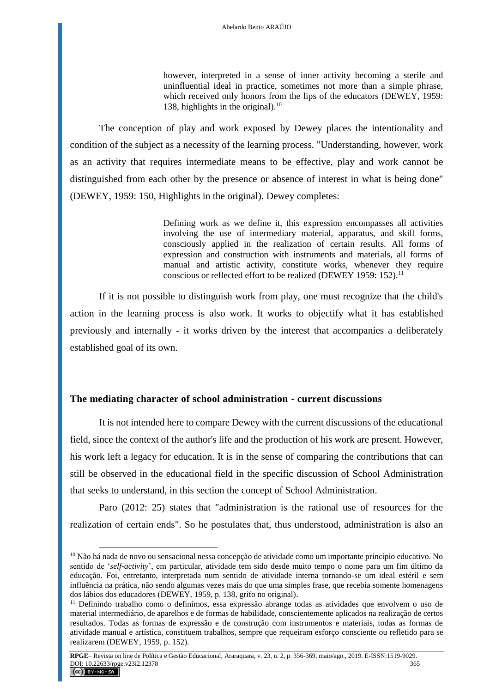however, interpreted in a sense of inner activity becoming a sterile and uninfluential ideal in practice, sometimes not more than a simple phrase, which received only honors from the lips of the educators (DEWEY, 1959: 138, highlights in the original). 10

The conception of play and work exposed by Dewey places the intentionality and condition of the subject as a necessity of the learning process. "Understanding, however, work as an activity that requires intermediate means to be effective, play and work cannot be distinguished from each other by the presence or absence of interest in what is being done" (DEWEY, 1959: 150, Highlights in the original). Dewey completes:

> Defining work as we define it, this expression encompasses all activities involving the use of intermediary material, apparatus, and skill forms, consciously applied in the realization of certain results. All forms of expression and construction with instruments and materials, all forms of manual and artistic activity, constitute works, whenever they require conscious or reflected effort to be realized (DEWEY 1959: 152).<sup>11</sup>

If it is not possible to distinguish work from play, one must recognize that the child's action in the learning process is also work. It works to objectify what it has established previously and internally - it works driven by the interest that accompanies a deliberately established goal of its own.

### **The mediating character of school administration - current discussions**

 $\overline{a}$ 

It is not intended here to compare Dewey with the current discussions of the educational field, since the context of the author's life and the production of his work are present. However, his work left a legacy for education. It is in the sense of comparing the contributions that can still be observed in the educational field in the specific discussion of School Administration that seeks to understand, in this section the concept of School Administration.

Paro (2012: 25) states that "administration is the rational use of resources for the realization of certain ends". So he postulates that, thus understood, administration is also an

<sup>&</sup>lt;sup>10</sup> Não há nada de novo ou sensacional nessa concepção de atividade como um importante princípio educativo. No sentido de '*self-activity*', em particular, atividade tem sido desde muito tempo o nome para um fim último da educação. Foi, entretanto, interpretada num sentido de atividade interna tornando-se um ideal estéril e sem influência na prática, não sendo algumas vezes mais do que uma simples frase, que recebia somente homenagens dos lábios dos educadores (DEWEY, 1959, p. 138, grifo no original).

<sup>11</sup> Definindo trabalho como o definimos, essa expressão abrange todas as atividades que envolvem o uso de material intermediário, de aparelhos e de formas de habilidade, conscientemente aplicados na realização de certos resultados. Todas as formas de expressão e de construção com instrumentos e materiais, todas as formas de atividade manual e artística, constituem trabalhos, sempre que requeiram esforço consciente ou refletido para se realizarem (DEWEY, 1959, p. 152).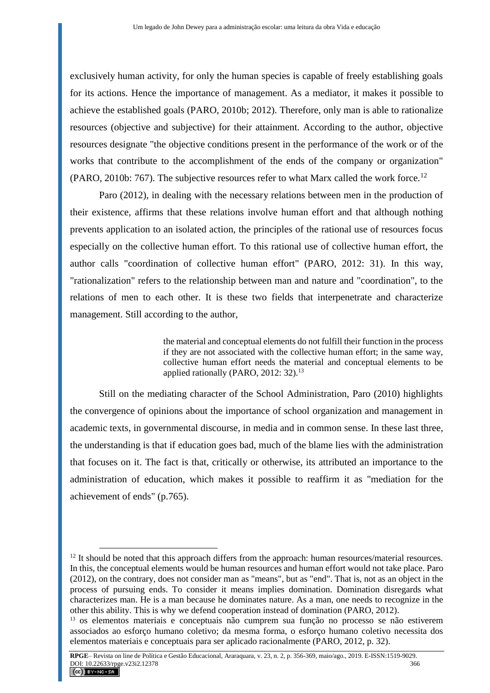exclusively human activity, for only the human species is capable of freely establishing goals for its actions. Hence the importance of management. As a mediator, it makes it possible to achieve the established goals (PARO, 2010b; 2012). Therefore, only man is able to rationalize resources (objective and subjective) for their attainment. According to the author, objective resources designate "the objective conditions present in the performance of the work or of the works that contribute to the accomplishment of the ends of the company or organization" (PARO, 2010b: 767). The subjective resources refer to what Marx called the work force.<sup>12</sup>

Paro (2012), in dealing with the necessary relations between men in the production of their existence, affirms that these relations involve human effort and that although nothing prevents application to an isolated action, the principles of the rational use of resources focus especially on the collective human effort. To this rational use of collective human effort, the author calls "coordination of collective human effort" (PARO, 2012: 31). In this way, "rationalization" refers to the relationship between man and nature and "coordination", to the relations of men to each other. It is these two fields that interpenetrate and characterize management. Still according to the author,

> the material and conceptual elements do not fulfill their function in the process if they are not associated with the collective human effort; in the same way, collective human effort needs the material and conceptual elements to be applied rationally (PARO, 2012: 32).<sup>13</sup>

Still on the mediating character of the School Administration, Paro (2010) highlights the convergence of opinions about the importance of school organization and management in academic texts, in governmental discourse, in media and in common sense. In these last three, the understanding is that if education goes bad, much of the blame lies with the administration that focuses on it. The fact is that, critically or otherwise, its attributed an importance to the administration of education, which makes it possible to reaffirm it as "mediation for the achievement of ends" (p.765).

 $12$  It should be noted that this approach differs from the approach: human resources/material resources. In this, the conceptual elements would be human resources and human effort would not take place. Paro (2012), on the contrary, does not consider man as "means", but as "end". That is, not as an object in the process of pursuing ends. To consider it means implies domination. Domination disregards what characterizes man. He is a man because he dominates nature. As a man, one needs to recognize in the other this ability. This is why we defend cooperation instead of domination (PARO, 2012).

<sup>13</sup> os elementos materiais e conceptuais não cumprem sua função no processo se não estiverem associados ao esforço humano coletivo; da mesma forma, o esforço humano coletivo necessita dos elementos materiais e conceptuais para ser aplicado racionalmente (PARO, 2012, p. 32).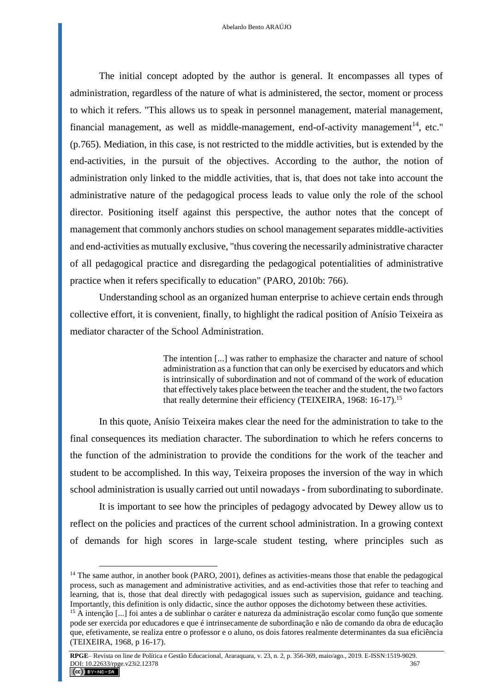The initial concept adopted by the author is general. It encompasses all types of administration, regardless of the nature of what is administered, the sector, moment or process to which it refers. "This allows us to speak in personnel management, material management, financial management, as well as middle-management, end-of-activity management<sup>14</sup>, etc." (p.765). Mediation, in this case, is not restricted to the middle activities, but is extended by the end-activities, in the pursuit of the objectives. According to the author, the notion of administration only linked to the middle activities, that is, that does not take into account the administrative nature of the pedagogical process leads to value only the role of the school director. Positioning itself against this perspective, the author notes that the concept of management that commonly anchors studies on school management separates middle-activities and end-activities as mutually exclusive, "thus covering the necessarily administrative character of all pedagogical practice and disregarding the pedagogical potentialities of administrative practice when it refers specifically to education" (PARO, 2010b: 766).

Understanding school as an organized human enterprise to achieve certain ends through collective effort, it is convenient, finally, to highlight the radical position of Anísio Teixeira as mediator character of the School Administration.

> The intention [...] was rather to emphasize the character and nature of school administration as a function that can only be exercised by educators and which is intrinsically of subordination and not of command of the work of education that effectively takes place between the teacher and the student, the two factors that really determine their efficiency (TEIXEIRA, 1968: 16-17).<sup>15</sup>

In this quote, Anísio Teixeira makes clear the need for the administration to take to the final consequences its mediation character. The subordination to which he refers concerns to the function of the administration to provide the conditions for the work of the teacher and student to be accomplished. In this way, Teixeira proposes the inversion of the way in which school administration is usually carried out until nowadays - from subordinating to subordinate.

It is important to see how the principles of pedagogy advocated by Dewey allow us to reflect on the policies and practices of the current school administration. In a growing context of demands for high scores in large-scale student testing, where principles such as

 $14$  The same author, in another book (PARO, 2001), defines as activities-means those that enable the pedagogical process, such as management and administrative activities, and as end-activities those that refer to teaching and learning, that is, those that deal directly with pedagogical issues such as supervision, guidance and teaching. Importantly, this definition is only didactic, since the author opposes the dichotomy between these activities.

<sup>&</sup>lt;sup>15</sup> A intenção [...] foi antes a de sublinhar o caráter e natureza da administração escolar como função que somente pode ser exercida por educadores e que é intrinsecamente de subordinação e não de comando da obra de educação que, efetivamente, se realiza entre o professor e o aluno, os dois fatores realmente determinantes da sua eficiência (TEIXEIRA, 1968, p 16-17).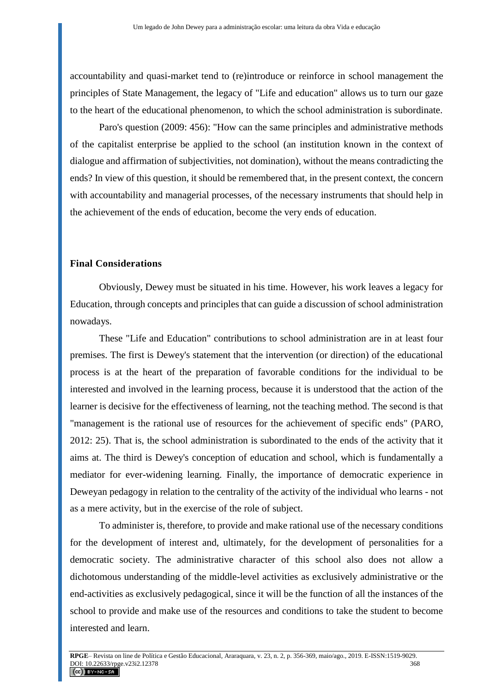accountability and quasi-market tend to (re)introduce or reinforce in school management the principles of State Management, the legacy of "Life and education" allows us to turn our gaze to the heart of the educational phenomenon, to which the school administration is subordinate.

Paro's question (2009: 456): "How can the same principles and administrative methods of the capitalist enterprise be applied to the school (an institution known in the context of dialogue and affirmation of subjectivities, not domination), without the means contradicting the ends? In view of this question, it should be remembered that, in the present context, the concern with accountability and managerial processes, of the necessary instruments that should help in the achievement of the ends of education, become the very ends of education.

# **Final Considerations**

Obviously, Dewey must be situated in his time. However, his work leaves a legacy for Education, through concepts and principles that can guide a discussion of school administration nowadays.

These "Life and Education" contributions to school administration are in at least four premises. The first is Dewey's statement that the intervention (or direction) of the educational process is at the heart of the preparation of favorable conditions for the individual to be interested and involved in the learning process, because it is understood that the action of the learner is decisive for the effectiveness of learning, not the teaching method. The second is that "management is the rational use of resources for the achievement of specific ends" (PARO, 2012: 25). That is, the school administration is subordinated to the ends of the activity that it aims at. The third is Dewey's conception of education and school, which is fundamentally a mediator for ever-widening learning. Finally, the importance of democratic experience in Deweyan pedagogy in relation to the centrality of the activity of the individual who learns - not as a mere activity, but in the exercise of the role of subject.

To administer is, therefore, to provide and make rational use of the necessary conditions for the development of interest and, ultimately, for the development of personalities for a democratic society. The administrative character of this school also does not allow a dichotomous understanding of the middle-level activities as exclusively administrative or the end-activities as exclusively pedagogical, since it will be the function of all the instances of the school to provide and make use of the resources and conditions to take the student to become interested and learn.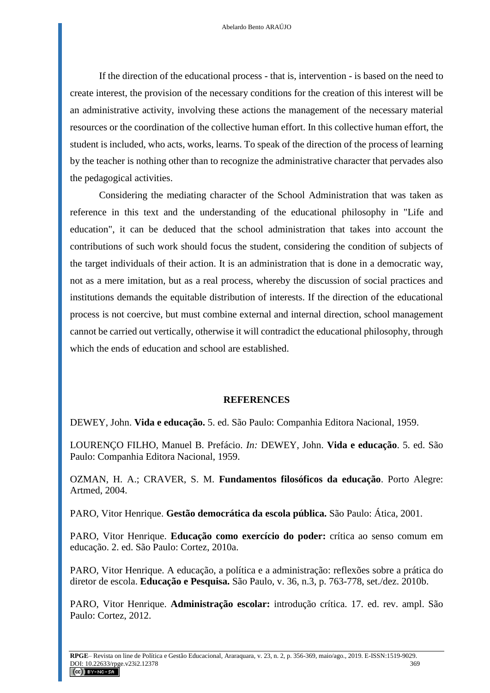If the direction of the educational process - that is, intervention - is based on the need to create interest, the provision of the necessary conditions for the creation of this interest will be an administrative activity, involving these actions the management of the necessary material resources or the coordination of the collective human effort. In this collective human effort, the student is included, who acts, works, learns. To speak of the direction of the process of learning by the teacher is nothing other than to recognize the administrative character that pervades also the pedagogical activities.

Considering the mediating character of the School Administration that was taken as reference in this text and the understanding of the educational philosophy in "Life and education", it can be deduced that the school administration that takes into account the contributions of such work should focus the student, considering the condition of subjects of the target individuals of their action. It is an administration that is done in a democratic way, not as a mere imitation, but as a real process, whereby the discussion of social practices and institutions demands the equitable distribution of interests. If the direction of the educational process is not coercive, but must combine external and internal direction, school management cannot be carried out vertically, otherwise it will contradict the educational philosophy, through which the ends of education and school are established.

### **REFERENCES**

DEWEY, John. **Vida e educação.** 5. ed. São Paulo: Companhia Editora Nacional, 1959.

LOURENÇO FILHO, Manuel B. Prefácio. *In:* DEWEY, John. **Vida e educação**. 5. ed. São Paulo: Companhia Editora Nacional, 1959.

OZMAN, H. A.; CRAVER, S. M. **Fundamentos filosóficos da educação**. Porto Alegre: Artmed, 2004.

PARO, Vitor Henrique. **Gestão democrática da escola pública.** São Paulo: Ática, 2001.

PARO, Vitor Henrique. **Educação como exercício do poder:** crítica ao senso comum em educação. 2. ed. São Paulo: Cortez, 2010a.

PARO, Vitor Henrique. A educação, a política e a administração: reflexões sobre a prática do diretor de escola. **Educação e Pesquisa.** São Paulo, v. 36, n.3, p. 763-778, set./dez. 2010b.

PARO, Vitor Henrique. **Administração escolar:** introdução crítica. 17. ed. rev. ampl. São Paulo: Cortez, 2012.